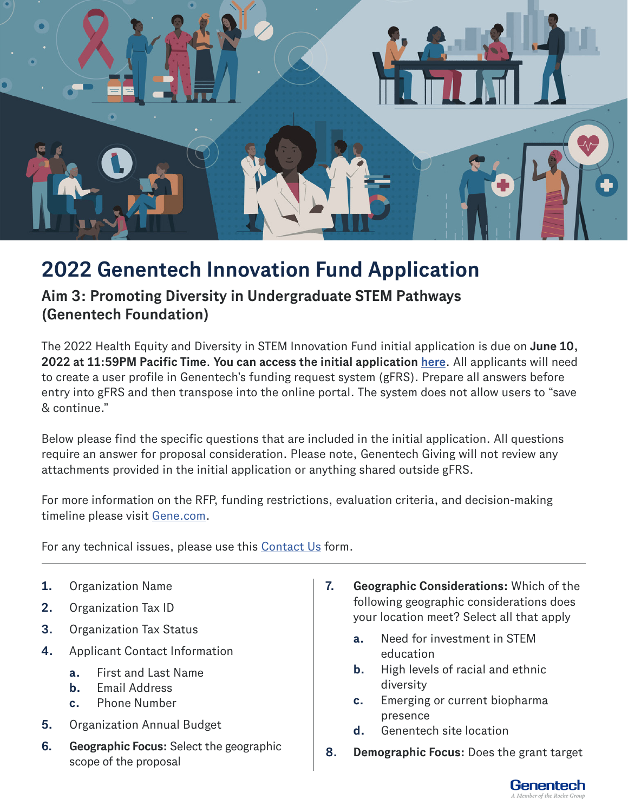

## **2022 Genentech Innovation Fund Application**

## **Aim 3: Promoting Diversity in Undergraduate STEM Pathways (Genentech Foundation)**

The 2022 Health Equity and Diversity in STEM Innovation Fund initial application is due on **June 10, 2022 at 11:59PM Pacific Time**. **You can access the initial application [here](https://cdcciam.gene.com/?_ga=2.235906951.744888538.1649696741-1509606708.1643400535)**. All applicants will need to create a user profile in Genentech's funding request system (gFRS). Prepare all answers before entry into gFRS and then transpose into the online portal. The system does not allow users to "save & continue."

Below please find the specific questions that are included in the initial application. All questions require an answer for proposal consideration. Please note, Genentech Giving will not review any attachments provided in the initial application or anything shared outside gFRS.

For more information on the RFP, funding restrictions, evaluation criteria, and decision-making timeline please visit [Gene.com.](http://Gene.com)

For any technical issues, please use this [Contact Us](https://www.gene.com/good/giving/corporate-giving/contact-us) form.

- **1.** Organization Name
- **2.** Organization Tax ID
- **3.** Organization Tax Status
- **4.** Applicant Contact Information
	- **a.** First and Last Name
	- **b.** Email Address
	- **c.** Phone Number
- **5.** Organization Annual Budget
- **6. Geographic Focus:** Select the geographic scope of the proposal
- **7. Geographic Considerations:** Which of the following geographic considerations does your location meet? Select all that apply
	- **a.** Need for investment in STEM education
	- **b.** High levels of racial and ethnic diversity
	- **c.** Emerging or current biopharma presence
	- **d.** Genentech site location
- **8. Demographic Focus:** Does the grant target